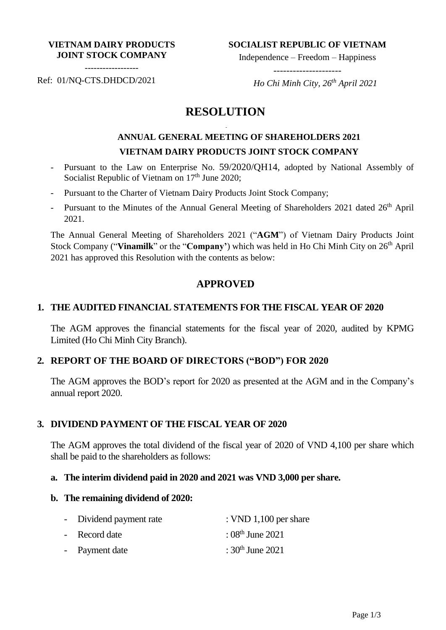#### **VIETNAM DAIRY PRODUCTS JOINT STOCK COMPANY**

**SOCIALIST REPUBLIC OF VIETNAM**

Independence – Freedom – Happiness ---------------------

------------------

Ref: 01/NQ-CTS.DHDCD/2021

 *Ho Chi Minh City, 26th April 2021*

# **RESOLUTION**

-

# **ANNUAL GENERAL MEETING OF SHAREHOLDERS 2021 VIETNAM DAIRY PRODUCTS JOINT STOCK COMPANY**

- Pursuant to the Law on Enterprise No. 59/2020/QH14, adopted by National Assembly of Socialist Republic of Vietnam on  $17<sup>th</sup>$  June 2020;
- Pursuant to the Charter of Vietnam Dairy Products Joint Stock Company;
- Pursuant to the Minutes of the Annual General Meeting of Shareholders 2021 dated 26<sup>th</sup> April 2021.

The Annual General Meeting of Shareholders 2021 ("**AGM**") of Vietnam Dairy Products Joint Stock Company ("Vinamilk" or the "Company") which was held in Ho Chi Minh City on 26<sup>th</sup> April 2021 has approved this Resolution with the contents as below:

# **APPROVED**

#### **1. THE AUDITED FINANCIAL STATEMENTS FOR THE FISCAL YEAR OF 2020**

The AGM approves the financial statements for the fiscal year of 2020, audited by KPMG Limited (Ho Chi Minh City Branch).

### **2. REPORT OF THE BOARD OF DIRECTORS ("BOD") FOR 2020**

The AGM approves the BOD's report for 2020 as presented at the AGM and in the Company's annual report 2020.

#### **3. DIVIDEND PAYMENT OF THE FISCAL YEAR OF 2020**

The AGM approves the total dividend of the fiscal year of 2020 of VND 4,100 per share which shall be paid to the shareholders as follows:

#### **a. The interim dividend paid in 2020 and 2021 was VND 3,000 per share.**

#### **b. The remaining dividend of 2020:**

| - Dividend payment rate | : VND $1,100$ per share |
|-------------------------|-------------------------|
| - Record date           | : $08^{th}$ June 2021   |
| - Payment date          | : $30^{th}$ June 2021   |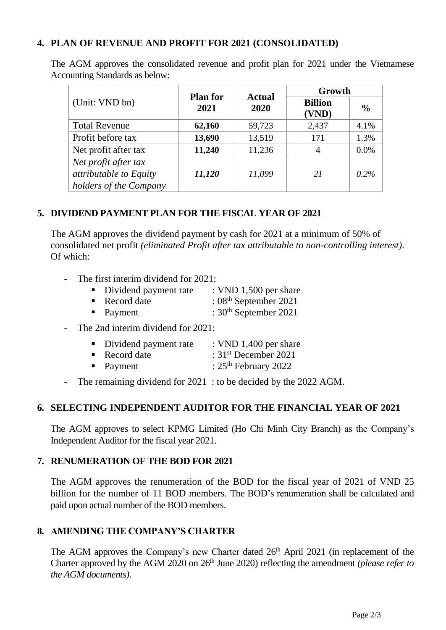# **4. PLAN OF REVENUE AND PROFIT FOR 2021 (CONSOLIDATED)**

|                                                                          | <b>Plan for</b><br>2021 | <b>Actual</b><br>2020 | Growth                  |               |
|--------------------------------------------------------------------------|-------------------------|-----------------------|-------------------------|---------------|
| (Unit: VND bn)                                                           |                         |                       | <b>Billion</b><br>(VND) | $\frac{0}{0}$ |
| <b>Total Revenue</b>                                                     | 62,160                  | 59,723                | 2,437                   | 4.1%          |
| Profit before tax                                                        | 13,690                  | 13,519                | 171                     | 1.3%          |
| Net profit after tax                                                     | 11,240                  | 11,236                | 4                       | 0.0%          |
| Net profit after tax<br>attributable to Equity<br>holders of the Company | 11,120                  | 11,099                | 21                      | $0.2\%$       |

The AGM approves the consolidated revenue and profit plan for 2021 under the Vietnamese Accounting Standards as below:

### **5. DIVIDEND PAYMENT PLAN FOR THE FISCAL YEAR OF 2021**

The AGM approves the dividend payment by cash for 2021 at a minimum of 50% of consolidated net profit *(eliminated Profit after tax attributable to non-controlling interest)*. Of which:

- The first interim dividend for 2021:
	- Dividend payment rate : VND 1,500 per share
	- Record date : 08<sup>th</sup> September 2021
	- Payment  $: 30<sup>th</sup>$  September 2021
- The 2nd interim dividend for 2021:

| Dividend payment rate | : VND 1,400 per share |
|-----------------------|-----------------------|
|-----------------------|-----------------------|

- Record date : 31<sup>st</sup> December 2021
- Payment :  $25<sup>th</sup>$  February 2022
- The remaining dividend for 2021 : to be decided by the 2022 AGM.

#### **6. SELECTING INDEPENDENT AUDITOR FOR THE FINANCIAL YEAR OF 2021**

The AGM approves to select KPMG Limited (Ho Chi Minh City Branch) as the Company's Independent Auditor for the fiscal year 2021.

#### **7. RENUMERATION OF THE BOD FOR 2021**

The AGM approves the renumeration of the BOD for the fiscal year of 2021 of VND 25 billion for the number of 11 BOD members. The BOD's renumeration shall be calculated and paid upon actual number of the BOD members.

# **8. AMENDING THE COMPANY'S CHARTER**

The AGM approves the Company's new Charter dated 26<sup>th</sup> April 2021 (in replacement of the Charter approved by the AGM 2020 on 26<sup>th</sup> June 2020) reflecting the amendment *(please refer to the AGM documents)*.